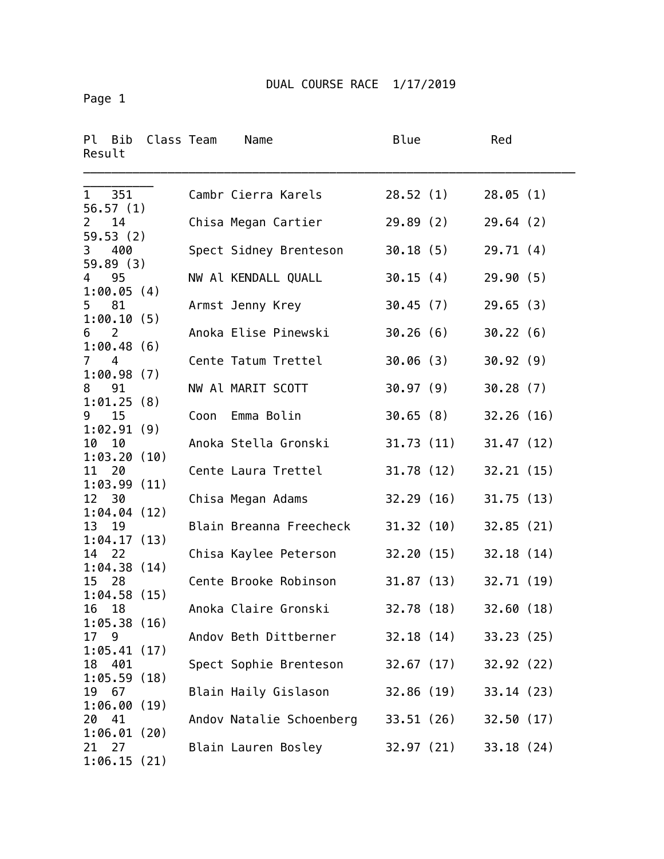Page 1

| Result                         | Pl Bib Class Team          |      | Name                     | Blue       | Red        |
|--------------------------------|----------------------------|------|--------------------------|------------|------------|
| 1 351<br>56.57(1)              |                            |      | Cambr Cierra Karels      | 28.52(1)   | 28.05(1)   |
| 14<br>$\mathbf{2}$<br>59.53(2) |                            |      | Chisa Megan Cartier      | 29.89(2)   | 29.64(2)   |
| 3<br>59.89(3)                  | 400                        |      | Spect Sidney Brenteson   | 30.18(5)   | 29.71(4)   |
| 95<br>4                        | 1:00.05(4)                 |      | NW Al KENDALL QUALL      | 30.15(4)   | 29.90(5)   |
| 5 81                           | 1:00.10(5)                 |      | Armst Jenny Krey         | 30.45(7)   | 29.65(3)   |
| $\overline{2}$<br>6            |                            |      | Anoka Elise Pinewski     | 30.26(6)   | 30.22(6)   |
| $7^{\circ}$<br>4               | 1:00.48(6)                 |      | Cente Tatum Trettel      | 30.06 (3)  | 30.92(9)   |
| 91<br>8                        | 1:00.98(7)                 |      | NW Al MARIT SCOTT        | 30.97(9)   | 30.28(7)   |
| 9<br>15                        | 1:01.25(8)                 | Coon | Emma Bolin               | 30.65(8)   | 32.26(16)  |
| 10<br>10                       | 1:02.91(9)                 |      | Anoka Stella Gronski     | 31.73 (11) | 31.47(12)  |
| 11 20                          | 1:03.20(10)                |      | Cente Laura Trettel      | 31.78 (12) | 32.21(15)  |
| 12 30                          | 1:03.99(11)                |      | Chisa Megan Adams        | 32.29(16)  | 31.75(13)  |
| 13 19                          | 1:04.04(12)                |      | Blain Breanna Freecheck  | 31.32 (10) | 32.85(21)  |
| - 22<br>14                     | 1:04.17(13)                |      | Chisa Kaylee Peterson    | 32.20 (15) | 32.18(14)  |
| 28<br>15                       | 1:04.38(14)                |      | Cente Brooke Robinson    | 31.87(13)  | 32.71(19)  |
| 18<br>16                       | 1:04.58(15)                |      | Anoka Claire Gronski     | 32.78 (18) | 32.60(18)  |
| 17 9                           | 1:05.38(16)                |      | Andov Beth Dittberner    | 32.18(14)  | 33.23(25)  |
| 401<br>18                      | 1:05.41(17)                |      | Spect Sophie Brenteson   | 32.67 (17) | 32.92 (22) |
| 67<br>19                       | 1:05.59(18)                |      | Blain Haily Gislason     | 32.86 (19) | 33.14(23)  |
| 20<br>-41                      | 1:06.00(19)                |      | Andov Natalie Schoenberg | 33.51 (26) | 32.50(17)  |
| 21 27                          | 1:06.01(20)<br>1:06.15(21) |      | Blain Lauren Bosley      | 32.97 (21) | 33.18(24)  |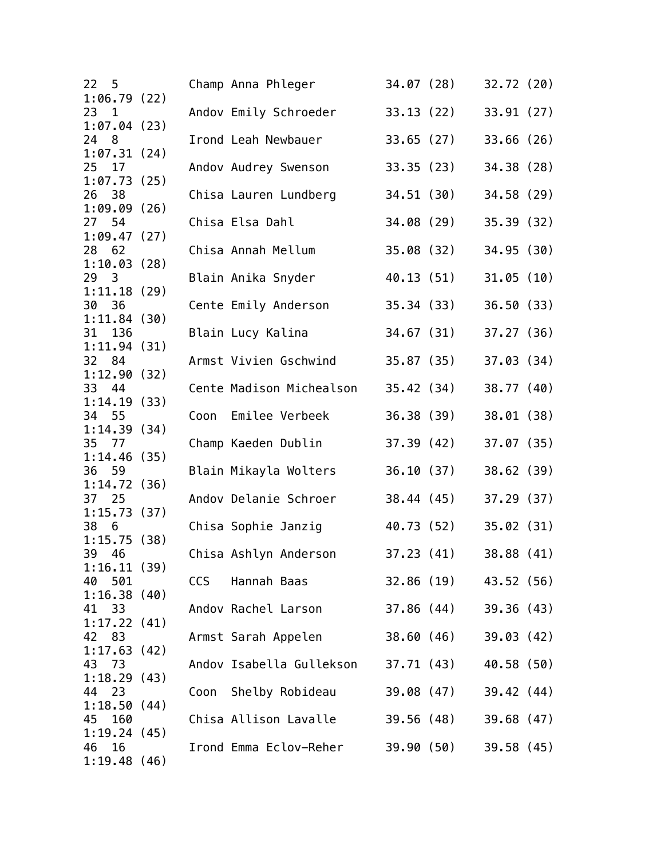| 22 <sub>5</sub>                   |      | Champ Anna Phleger       | 34.07 (28) |            | 32.72(20)  |  |
|-----------------------------------|------|--------------------------|------------|------------|------------|--|
| 1:06.79(22)<br>23<br>$\mathbf{1}$ |      | Andov Emily Schroeder    | 33.13 (22) |            | 33.91(27)  |  |
| 1:07.04(23)                       |      |                          |            |            |            |  |
| 24 8<br>1:07.31(24)               |      | Irond Leah Newbauer      | 33.65(27)  |            | 33.66(26)  |  |
| 25 17                             |      | Andov Audrey Swenson     | 33.35(23)  |            | 34.38 (28) |  |
| 1:07.73(25)                       |      |                          |            |            |            |  |
| 26 38<br>1:09.09(26)              |      | Chisa Lauren Lundberg    | 34.51(30)  |            | 34.58 (29) |  |
| 27 54                             |      | Chisa Elsa Dahl          | 34.08 (29) |            | 35.39(32)  |  |
| 1:09.47(27)                       |      |                          |            |            |            |  |
| 28 62                             |      | Chisa Annah Mellum       | 35.08(32)  |            | 34.95(30)  |  |
| 1:10.03(28)<br>29<br>3            |      | Blain Anika Snyder       |            | 40.13 (51) | 31.05(10)  |  |
| 1:11.18(29)                       |      |                          |            |            |            |  |
| 30<br>36                          |      | Cente Emily Anderson     |            | 35.34 (33) | 36.50(33)  |  |
| 1:11.84(30)<br>31 136             |      | Blain Lucy Kalina        |            | 34.67 (31) | 37.27(36)  |  |
| 1:11.94(31)                       |      |                          |            |            |            |  |
| 32 84                             |      | Armst Vivien Gschwind    | 35.87 (35) |            | 37.03(34)  |  |
| 1:12.90(32)                       |      |                          |            |            |            |  |
| 33 44<br>1:14.19(33)              |      | Cente Madison Michealson | 35.42(34)  |            | 38.77(40)  |  |
| 34<br>- 55                        | Coon | Emilee Verbeek           | 36.38 (39) |            | 38.01(38)  |  |
| 1:14.39(34)                       |      |                          |            |            |            |  |
| 35 77<br>1:14.46(35)              |      | Champ Kaeden Dublin      | 37.39(42)  |            | 37.07(35)  |  |
| 36 59                             |      | Blain Mikayla Wolters    | 36.10(37)  |            | 38.62(39)  |  |
| 1:14.72(36)                       |      |                          |            |            |            |  |
| 37<br>25                          |      | Andov Delanie Schroer    |            | 38.44 (45) | 37.29(37)  |  |
| 1:15.73(37)<br>38<br>6            |      | Chisa Sophie Janzig      |            | 40.73 (52) | 35.02(31)  |  |
| 1:15.75(38)                       |      |                          |            |            |            |  |
| 39<br>46                          |      | Chisa Ashlyn Anderson    | 37.23(41)  |            | 38.88 (41) |  |
| 1:16.11(39)<br>40 501             | CCS  | Hannah Baas              |            | 32.86 (19) | 43.52 (56) |  |
| 1:16.38(40)                       |      |                          |            |            |            |  |
| 41<br>33                          |      | Andov Rachel Larson      |            | 37.86 (44) | 39.36 (43) |  |
| 1:17.22(41)<br>83                 |      |                          |            |            |            |  |
| 42<br>1:17.63(42)                 |      | Armst Sarah Appelen      |            | 38.60 (46) | 39.03(42)  |  |
| 43<br>73                          |      | Andov Isabella Gullekson |            | 37.71 (43) | 40.58 (50) |  |
| 1:18.29(43)                       |      |                          |            |            |            |  |
| 23<br>44<br>1:18.50(44)           |      | Coon Shelby Robideau     |            | 39.08 (47) | 39.42(44)  |  |
| 160<br>45                         |      | Chisa Allison Lavalle    |            | 39.56 (48) | 39.68(47)  |  |
| 1:19.24(45)                       |      |                          |            |            |            |  |
| 16<br>46<br>1:19.48(46)           |      | Irond Emma Eclov-Reher   |            | 39.90 (50) | 39.58(45)  |  |
|                                   |      |                          |            |            |            |  |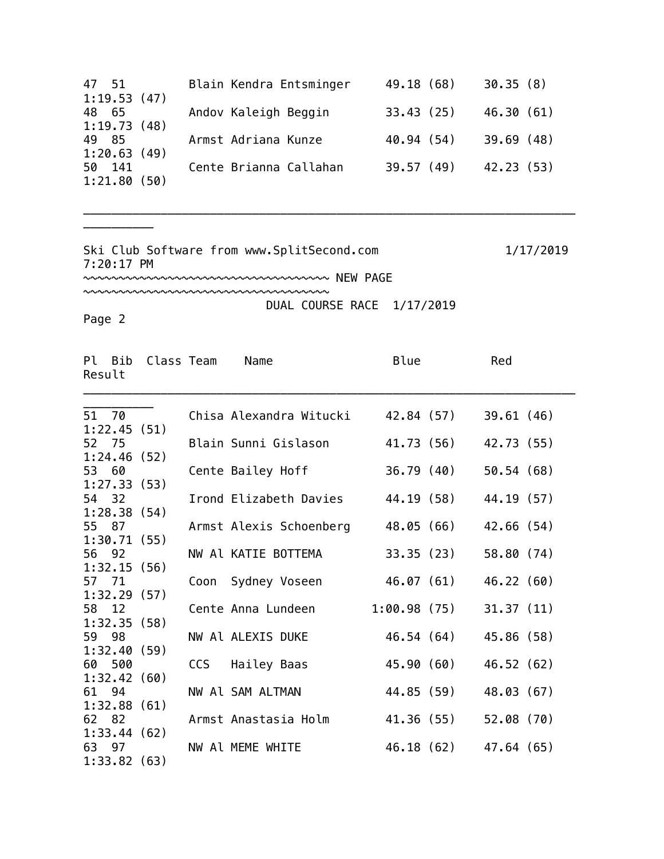| 47 51                 | Blain Kendra Entsminger | 49.18 (68) | 30.35(8)   |
|-----------------------|-------------------------|------------|------------|
| 1:19.53(47)           |                         |            |            |
| 48 65                 | Andov Kaleigh Beggin    | 33.43(25)  | 46.30(61)  |
| 1:19.73(48)           |                         |            |            |
| 49 85                 | Armst Adriana Kunze     | 40.94 (54) | 39.69(48)  |
| 1:20.63(49)           |                         |            |            |
| 50 141<br>1:21.80(50) | Cente Brianna Callahan  | 39.57(49)  | 42.23 (53) |
|                       |                         |            |            |

\_\_\_\_\_\_\_\_\_\_\_\_\_\_\_\_\_\_\_\_\_\_\_\_\_\_\_\_\_\_\_\_\_\_\_\_\_\_\_\_\_\_\_\_\_\_\_\_\_\_\_\_\_\_\_\_\_\_\_\_\_\_\_\_\_\_\_\_\_\_

Ski Club Software from www.SplitSecond.com 1/17/2019 7:20:17 PM

~~~~~~~~~~~~~~~~~~~~~~~~~~~~~~~~~~~ NEW PAGE

~~~~~~~~~~~~~~~~~~~~~~~~~~~~~~~~~~~

DUAL COURSE RACE 1/17/2019

Page 2

\_\_\_\_\_\_\_\_\_\_

| Result | Pl Bib | Class Team  |     | Name                    | Blue        |            | Red        |  |
|--------|--------|-------------|-----|-------------------------|-------------|------------|------------|--|
| 51 70  |        |             |     | Chisa Alexandra Witucki |             | 42.84 (57) | 39.61(46)  |  |
|        |        | 1:22.45(51) |     |                         |             |            |            |  |
| 52 75  |        |             |     | Blain Sunni Gislason    |             | 41.73 (56) | 42.73 (55) |  |
|        |        | 1:24.46(52) |     |                         |             |            |            |  |
| 53 60  |        |             |     | Cente Bailey Hoff       |             | 36.79 (40) | 50.54(68)  |  |
|        |        | 1:27.33(53) |     |                         |             |            |            |  |
| 54 32  |        |             |     | Irond Elizabeth Davies  |             | 44.19 (58) | 44.19 (57) |  |
|        |        | 1:28.38(54) |     |                         |             |            |            |  |
| 55 87  |        |             |     | Armst Alexis Schoenberg |             | 48.05 (66) | 42.66(54)  |  |
|        |        | 1:30.71(55) |     |                         |             |            |            |  |
| 56 92  |        |             |     | NW Al KATIE BOTTEMA     |             | 33.35 (23) | 58.80 (74) |  |
|        |        | 1:32.15(56) |     |                         |             |            |            |  |
| 57 71  |        |             |     | Coon Sydney Voseen      |             | 46.07 (61) | 46.22(60)  |  |
|        |        | 1:32.29(57) |     |                         |             |            |            |  |
| 58 12  |        |             |     | Cente Anna Lundeen      | 1:00.98(75) |            | 31.37(11)  |  |
|        |        | 1:32.35(58) |     |                         |             |            |            |  |
| 59 98  |        |             |     | NW Al ALEXIS DUKE       |             | 46.54 (64) | 45.86 (58) |  |
|        |        | 1:32.40(59) |     |                         |             |            |            |  |
|        | 60 500 | 1:32.42(60) | CCS | Hailey Baas             |             | 45.90 (60) | 46.52 (62) |  |
| 61 94  |        |             |     | NW Al SAM ALTMAN        |             | 44.85 (59) | 48.03 (67) |  |
|        |        | 1:32.88(61) |     |                         |             |            |            |  |
| 62 82  |        |             |     | Armst Anastasia Holm    |             | 41.36 (55) | 52.08(70)  |  |
|        |        | 1:33.44(62) |     |                         |             |            |            |  |
| 63 97  |        |             |     | NW Al MEME WHITE        |             | 46.18 (62) | 47.64(65)  |  |
|        |        | 1:33.82(63) |     |                         |             |            |            |  |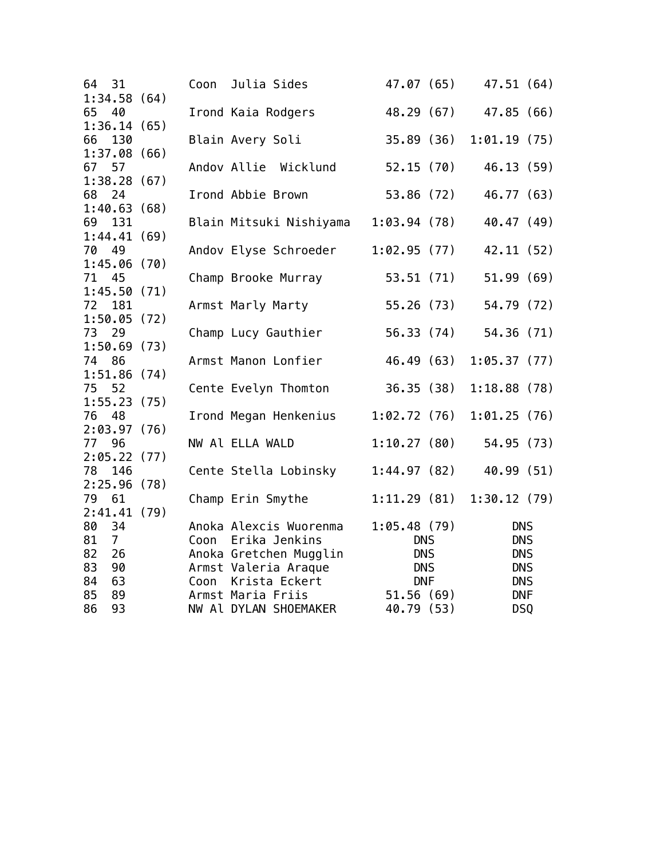| 31<br>64                | Coon | Julia Sides             | 47.07 (65)  |            | 47.51 (64)  |  |
|-------------------------|------|-------------------------|-------------|------------|-------------|--|
| 1:34.58(64)             |      |                         |             |            |             |  |
| 65<br>40                |      | Irond Kaia Rodgers      | 48.29 (67)  |            | 47.85 (66)  |  |
| 1:36.14(65)             |      |                         |             |            |             |  |
| 66 130                  |      | Blain Avery Soli        | 35.89(36)   |            | 1:01.19(75) |  |
| 1:37.08(66)<br>67 57    |      | Andov Allie Wicklund    | 52.15(70)   |            | 46.13(59)   |  |
| 1:38.28(67)             |      |                         |             |            |             |  |
| 68 24                   |      | Irond Abbie Brown       | 53.86 (72)  |            | 46.77 (63)  |  |
| 1:40.63(68)             |      |                         |             |            |             |  |
| 69<br>131               |      | Blain Mitsuki Nishiyama | 1:03.94(78) |            | 40.47 (49)  |  |
| 1:44.41(69)             |      |                         |             |            |             |  |
| 70<br>49<br>1:45.06(70) |      | Andov Elyse Schroeder   | 1:02.95(77) |            | 42.11 (52)  |  |
| 71 45                   |      | Champ Brooke Murray     |             | 53.51 (71) | 51.99(69)   |  |
| 1:45.50(71)             |      |                         |             |            |             |  |
| 72<br>181               |      | Armst Marly Marty       |             | 55.26 (73) | 54.79 (72)  |  |
| 1:50.05(72)             |      |                         |             |            |             |  |
| 73<br>- 29              |      | Champ Lucy Gauthier     |             | 56.33 (74) | 54.36 (71)  |  |
| 1:50.69(73)             |      |                         |             |            |             |  |
| 74 86                   |      | Armst Manon Lonfier     | 46.49 (63)  |            | 1:05.37(77) |  |
| 1:51.86(74)             |      |                         |             |            |             |  |
| 75 52                   |      | Cente Evelyn Thomton    | 36.35(38)   |            | 1:18.88(78) |  |
| 1:55.23(75)             |      |                         |             |            |             |  |
| 76<br>48                |      | Irond Megan Henkenius   | 1:02.72(76) |            | 1:01.25(76) |  |
| 2:03.97(76)             |      |                         |             |            |             |  |
| 77 96                   |      | NW Al ELLA WALD         | 1:10.27(80) |            | 54.95 (73)  |  |
| 2:05.22(77)             |      |                         |             |            |             |  |
| 78<br>146               |      | Cente Stella Lobinsky   | 1:44.97(82) |            | 40.99 (51)  |  |
| 2:25.96(78)             |      |                         |             |            |             |  |
| 79<br>61                |      | Champ Erin Smythe       | 1:11.29(81) |            | 1:30.12(79) |  |
| 2:41.41(79)             |      |                         |             |            |             |  |
| 80<br>34                |      | Anoka Alexcis Wuorenma  | 1:05.48(79) |            | <b>DNS</b>  |  |
| 81<br>$\overline{7}$    |      | Coon Erika Jenkins      | <b>DNS</b>  |            | <b>DNS</b>  |  |
| 82<br>26                |      | Anoka Gretchen Mugglin  | <b>DNS</b>  |            | <b>DNS</b>  |  |
| 83<br>90                |      | Armst Valeria Araque    | <b>DNS</b>  |            | <b>DNS</b>  |  |
| 84<br>63                |      | Coon Krista Eckert      | <b>DNF</b>  |            | <b>DNS</b>  |  |
| 85<br>89                |      | Armst Maria Friis       | 51.56(69)   |            | <b>DNF</b>  |  |
| 93<br>86                |      | NW Al DYLAN SHOEMAKER   | 40.79 (53)  |            | DSQ         |  |